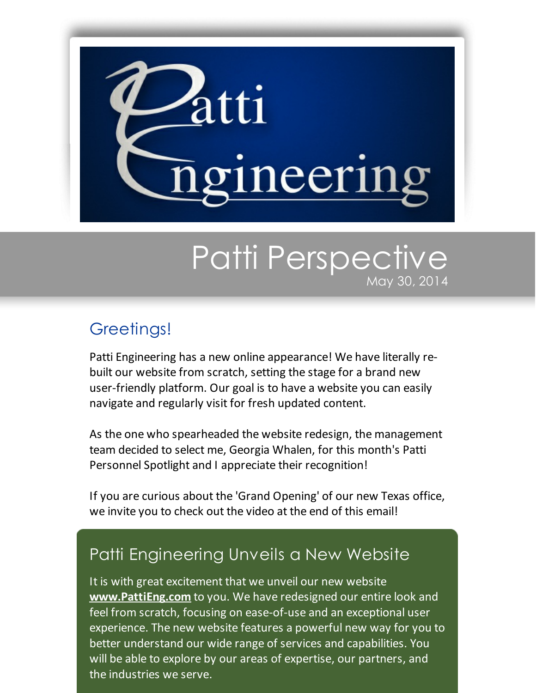

## Patti Perspective May 30, 2014

## Greetings!

Patti Engineering has a new online appearance! We have literally rebuilt our website from scratch, setting the stage for a brand new user-friendly platform. Our goal is to have a website you can easily navigate and regularly visit for fresh updated content.

As the one who spearheaded the website redesign, the management team decided to select me, Georgia Whalen, for this month's Patti Personnel Spotlight and I appreciate their recognition!

If you are curious about the 'Grand Opening' of our new Texas office, we invite you to check out the video at the end of this email!

## Patti Engineering Unveils a New Website

It is with great excitement that we unveil our new website **[www.PattiEng.com](http://www.pattieng.com/?utm_source=Patti+Perspective_May_2014&utm_campaign=Newsletter+May+2014&utm_medium=email)** to you. We have redesigned our entire look and feel from scratch, focusing on ease-of-use and an exceptional user experience. The new website features a powerful new way for you to better understand our wide range of services and capabilities. You will be able to explore by our areas of expertise, our partners, and the industries we serve.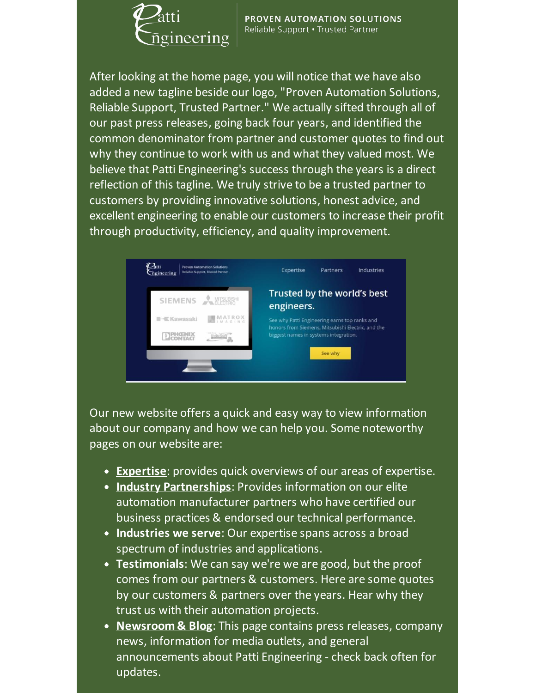

PROVEN AUTOMATION SOLUTIONS Reliable Support . Trusted Partner

After looking at the home page, you will notice that we have also added a new tagline beside our logo, "Proven Automation Solutions, Reliable Support, Trusted Partner." We actually sifted through all of our past press releases, going back four years, and identified the common denominator from partner and customer quotes to find out why they continue to work with us and what they valued most. We believe that Patti Engineering's success through the years is a direct reflection of this tagline. We truly strive to be a trusted partner to customers by providing innovative solutions, honest advice, and excellent engineering to enable our customers to increase their profit through productivity, efficiency, and quality improvement.



Our new website offers a quick and easy way to view information about our company and how we can help you. Some noteworthy pages on our website are:

- **[Expertise](http://pattiengineering.com/expertise/?utm_source=Patti+Perspective_May_2014&utm_campaign=Newsletter+May+2014&utm_medium=email)**: provides quick overviews of our areas of expertise.
- **Industry [Partnerships](http://pattiengineering.com/partners/?utm_source=Patti+Perspective_May_2014&utm_campaign=Newsletter+May+2014&utm_medium=email)**: Provides information on our elite automation manufacturer partners who have certified our business practices & endorsed our technical performance.
- **[Industries](http://pattiengineering.com/industries/?utm_source=Patti+Perspective_May_2014&utm_campaign=Newsletter+May+2014&utm_medium=email) we serve**: Our expertise spans across a broad spectrum of industries and applications.
- **[Testimonials](http://pattiengineering.com/testimonials/?utm_source=Patti+Perspective_May_2014&utm_campaign=Newsletter+May+2014&utm_medium=email)**: We can say we're we are good, but the proof comes from our partners & customers. Here are some quotes by our customers & partners over the years. Hear why they trust us with their automation projects.
- **[Newsroom](http://pattiengineering.com/newsroom/?utm_source=Patti+Perspective_May_2014&utm_campaign=Newsletter+May+2014&utm_medium=email) & Blog**: This page contains press releases, company news, information for media outlets, and general announcements about Patti Engineering - check back often for updates.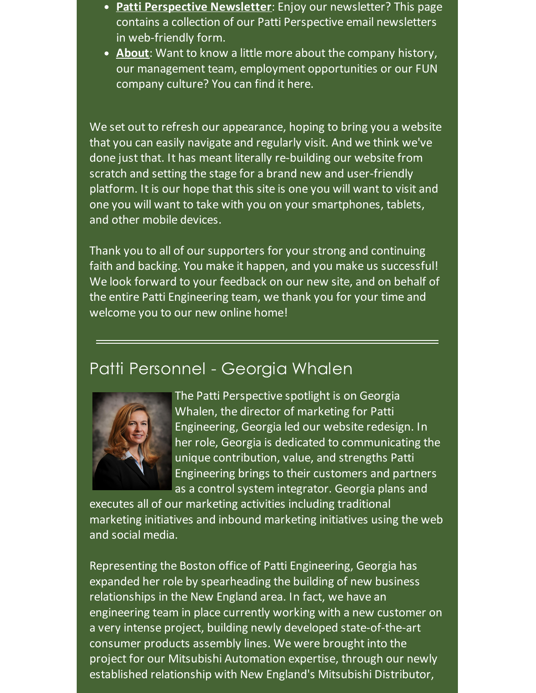- **Patti [Perspective](http://pattiengineering.com/newsletters/?utm_source=Patti+Perspective_May_2014&utm_campaign=Newsletter+May+2014&utm_medium=email) Newsletter**: Enjoy our newsletter? This page contains a collection of our Patti Perspective email newsletters in web-friendly form.
- **[About](http://pattiengineering.com/about/?utm_source=Patti+Perspective_May_2014&utm_campaign=Newsletter+May+2014&utm_medium=email)**: Want to know a little more about the company history, our management team, employment opportunities or our FUN company culture? You can find it here.

We set out to refresh our appearance, hoping to bring you a website that you can easily navigate and regularly visit. And we think we've done just that. It has meant literally re-building our website from scratch and setting the stage for a brand new and user-friendly platform. It is our hope that this site is one you will want to visit and one you will want to take with you on your smartphones, tablets, and other mobile devices.

Thank you to all of our supporters for your strong and continuing faith and backing. You make it happen, and you make us successful! We look forward to your feedback on our new site, and on behalf of the entire Patti Engineering team, we thank you for your time and welcome you to our new online home!

## Patti Personnel - Georgia Whalen



The Patti Perspective spotlight is on Georgia Whalen, the director of marketing for Patti Engineering, Georgia led our website redesign. In her role, Georgia is dedicated to communicating the unique contribution, value, and strengths Patti Engineering brings to their customers and partners as a control system integrator. Georgia plans and

executes all of our marketing activities including traditional marketing initiatives and inbound marketing initiatives using the web and social media.

Representing the Boston office of Patti Engineering, Georgia has expanded her role by spearheading the building of new business relationships in the New England area. In fact, we have an engineering team in place currently working with a new customer on a very intense project, building newly developed state-of-the-art consumer products assembly lines. We were brought into the project for our Mitsubishi Automation expertise, through our newly established relationship with New England's Mitsubishi Distributor,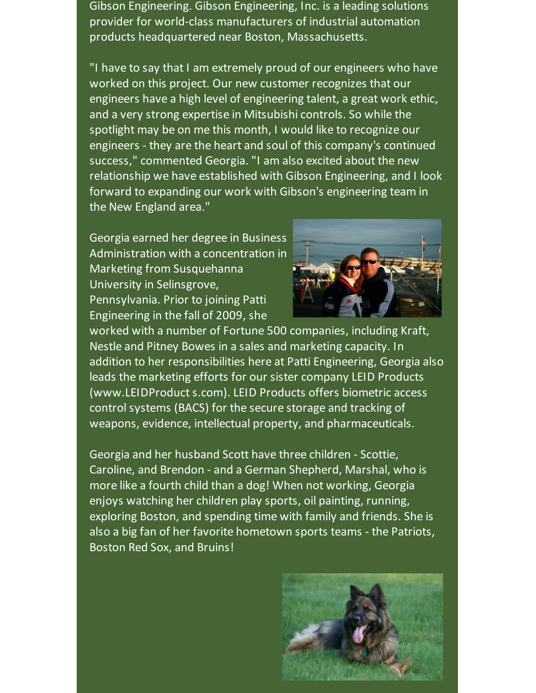Gibson Engineering. Gibson Engineering, Inc. is a leading solutions provider for world-class manufacturers of industrial automation products headquartered near Boston, Massachusetts.

"I have to say that I am extremely proud of our engineers who have worked on this project. Our new customer recognizes that our engineers have a high level of engineering talent, a great work ethic, and a very strong expertise in Mitsubishi controls. So while the spotlight may be on me this month, I would like to recognize our engineers - they are the heart and soul of this company's continued success," commented Georgia. "I am also excited about the new relationship we have established with Gibson Engineering, and I look forward to expanding our work with Gibson's engineering team in the New England area."

Georgia earned her degree in Business Administration with a concentration in Marketing from Susquehanna University in Selinsgrove, Pennsylvania. Prior to joining Patti Engineering in the fall of 2009, she



worked with a number of Fortune 500 companies, including Kraft, Nestle and Pitney Bowes in a sales and marketing capacity. In addition to her responsibilities here at Patti Engineering, Georgia also leads the marketing efforts for our sister company LEID Products (www.LEIDProduct s.com). LEID Products offers biometric access control systems (BACS) for the secure storage and tracking of weapons, evidence, intellectual property, and pharmaceuticals.

Georgia and her husband Scott have three children - Scottie, Caroline, and Brendon - and a German Shepherd, Marshal, who is more like a fourth child than a dog! When not working, Georgia enjoys watching her children play sports, oil painting, running, exploring Boston, and spending time with family and friends. She is also a big fan of her favorite hometown sports teams - the Patriots, Boston Red Sox, and Bruins!

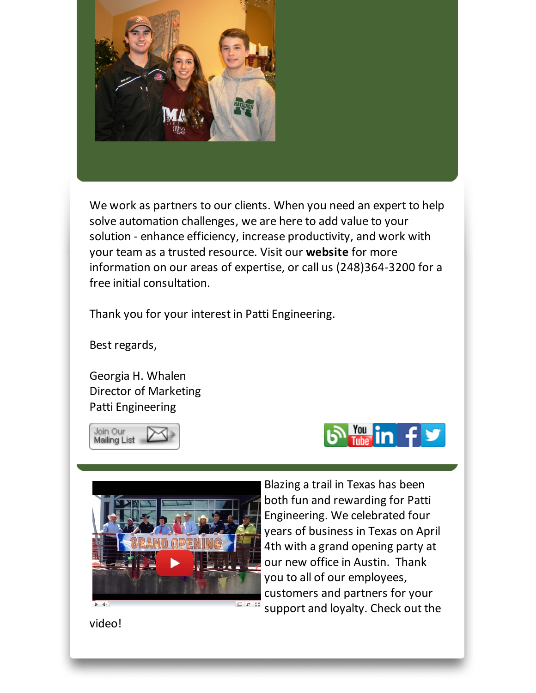

We work as partners to our clients. When you need an expert to help solve automation challenges, we are here to add value to your solution - enhance efficiency, increase productivity, and work with your team as a trusted resource. Visit our **[website](http://www.pattieng.com/expertise.html?utm_source=Patti+Perspective_May_2014&utm_campaign=Newsletter+May+2014&utm_medium=email)** for more information on our areas of expertise, or call us (248)364-3200 for a free initial consultation.

Thank you for your interest in Patti Engineering.

Best regards,

Georgia H. Whalen Director of Marketing Patti Engineering







Blazing a trail in Texas has been both fun and rewarding for Patti Engineering. We celebrated four years of business in Texas on April 4th with a grand opening party at our new office in Austin. Thank you to all of our employees, customers and partners for your support and loyalty. Check out the

video!